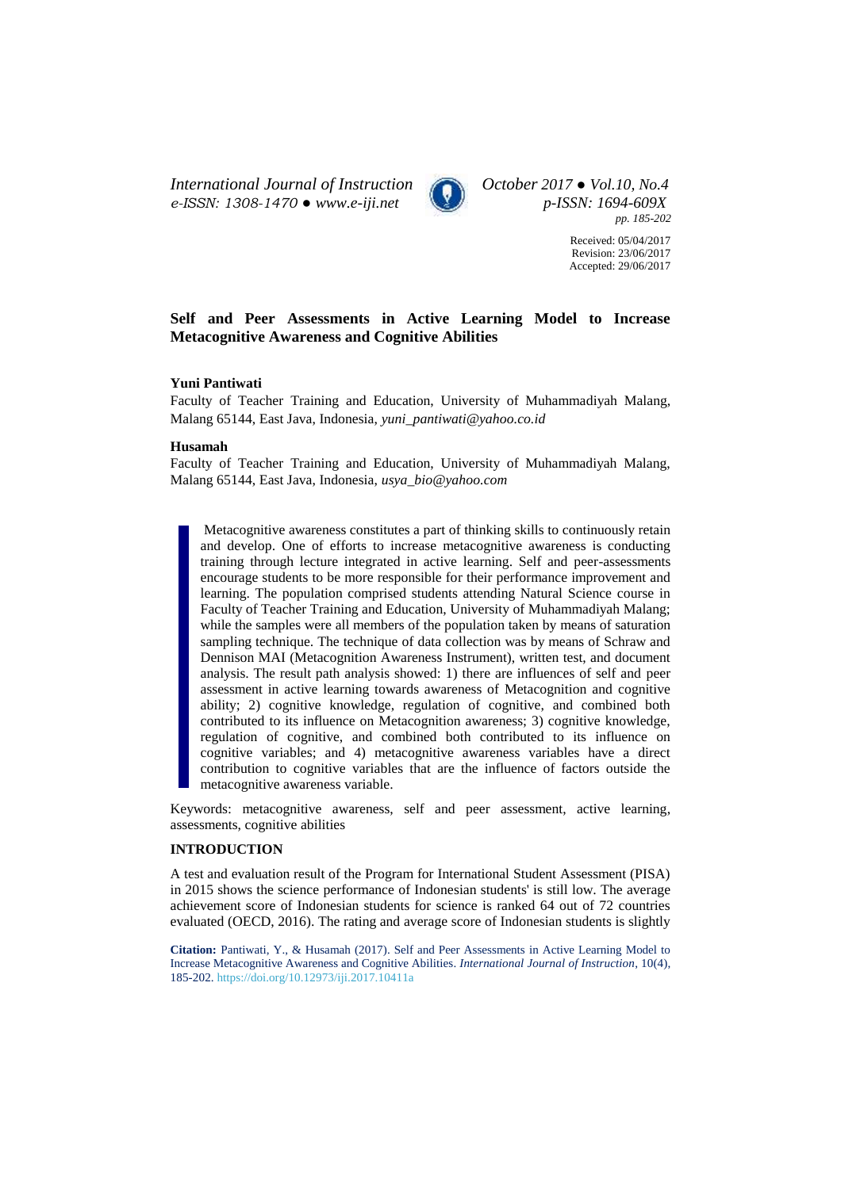*International Journal of Instruction October 2017 ● Vol.10, No.4 e-ISSN: 1308-1470 ● [www.e-iji.net](http://www.e-iji.net/) p-ISSN: 1694-609X*



*pp. 185-202*

Received: 05/04/2017 Revision: 23/06/2017 Accepted: 29/06/2017

# **Self and Peer Assessments in Active Learning Model to Increase Metacognitive Awareness and Cognitive Abilities**

## **Yuni Pantiwati**

Faculty of Teacher Training and Education, University of Muhammadiyah Malang, Malang 65144, East Java, Indonesia, *yuni\_pantiwati@yahoo.co.id*

#### **Husamah**

Faculty of Teacher Training and Education, University of Muhammadiyah Malang, Malang 65144, East Java, Indonesia, *usya\_bio@yahoo.com*

Metacognitive awareness constitutes a part of thinking skills to continuously retain and develop. One of efforts to increase metacognitive awareness is conducting training through lecture integrated in active learning. Self and peer-assessments encourage students to be more responsible for their performance improvement and learning. The population comprised students attending Natural Science course in Faculty of Teacher Training and Education, University of Muhammadiyah Malang; while the samples were all members of the population taken by means of saturation sampling technique. The technique of data collection was by means of Schraw and Dennison MAI (Metacognition Awareness Instrument), written test, and document analysis. The result path analysis showed: 1) there are influences of self and peer assessment in active learning towards awareness of Metacognition and cognitive ability; 2) cognitive knowledge, regulation of cognitive, and combined both contributed to its influence on Metacognition awareness; 3) cognitive knowledge, regulation of cognitive, and combined both contributed to its influence on cognitive variables; and 4) metacognitive awareness variables have a direct contribution to cognitive variables that are the influence of factors outside the metacognitive awareness variable.

Keywords: metacognitive awareness, self and peer assessment, active learning, assessments, cognitive abilities

## **INTRODUCTION**

A test and evaluation result of the Program for International Student Assessment (PISA) in 2015 shows the science performance of Indonesian students' is still low. The average achievement score of Indonesian students for science is ranked 64 out of 72 countries evaluated (OECD, 2016). The rating and average score of Indonesian students is slightly

**Citation:** Pantiwati, Y., & Husamah (2017). Self and Peer Assessments in Active Learning Model to Increase Metacognitive Awareness and Cognitive Abilities. *International Journal of Instruction*, 10(4), 185-202. <https://doi.org/10.12973/iji.2017.10411a>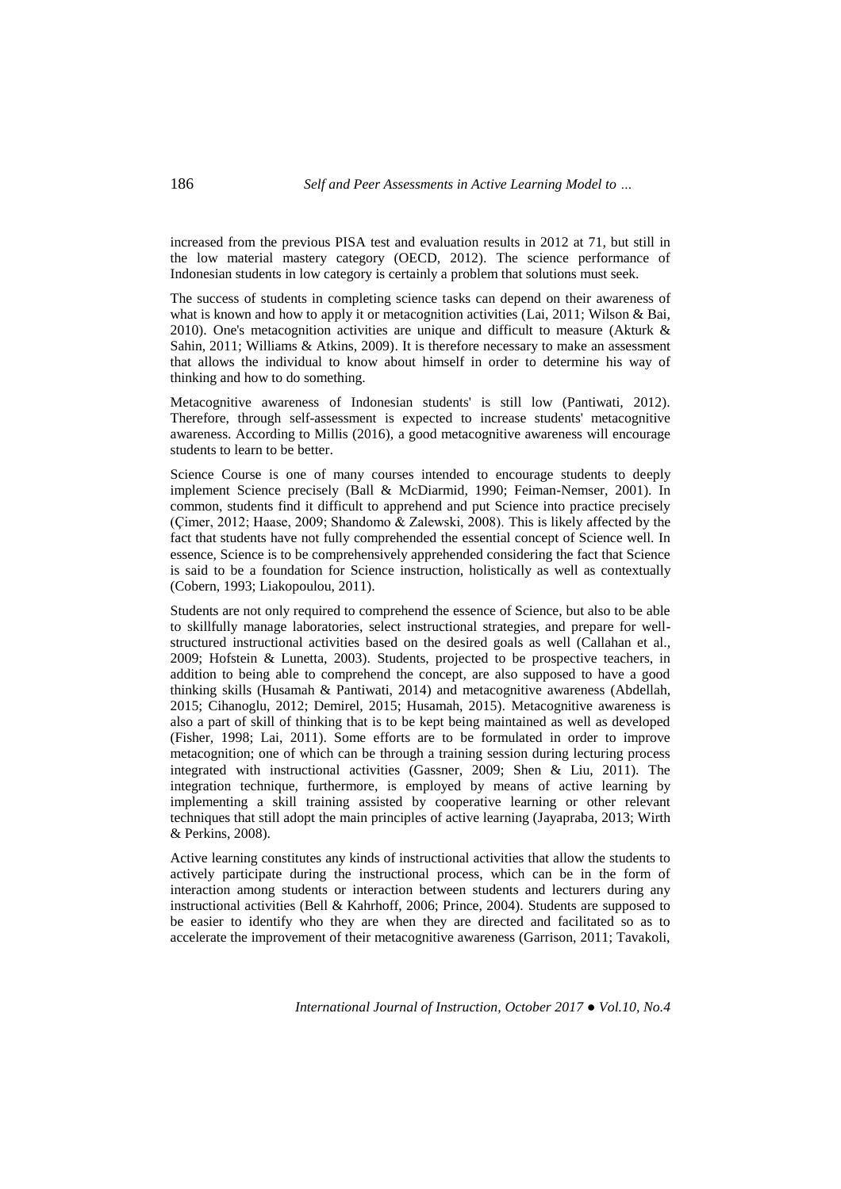increased from the previous PISA test and evaluation results in 2012 at 71, but still in the low material mastery category (OECD, 2012). The science performance of Indonesian students in low category is certainly a problem that solutions must seek.

The success of students in completing science tasks can depend on their awareness of what is known and how to apply it or metacognition activities (Lai, 2011; Wilson & Bai, 2010). One's metacognition activities are unique and difficult to measure (Akturk & Sahin, 2011; Williams & Atkins, 2009). It is therefore necessary to make an assessment that allows the individual to know about himself in order to determine his way of thinking and how to do something.

Metacognitive awareness of Indonesian students' is still low (Pantiwati, 2012). Therefore, through self-assessment is expected to increase students' metacognitive awareness. According to Millis (2016), a good metacognitive awareness will encourage students to learn to be better.

Science Course is one of many courses intended to encourage students to deeply implement Science precisely (Ball & McDiarmid, 1990; Feiman-Nemser, 2001). In common, students find it difficult to apprehend and put Science into practice precisely (Çimer, 2012; Haase, 2009; Shandomo & Zalewski, 2008). This is likely affected by the fact that students have not fully comprehended the essential concept of Science well. In essence, Science is to be comprehensively apprehended considering the fact that Science is said to be a foundation for Science instruction, holistically as well as contextually (Cobern, 1993; Liakopoulou, 2011).

Students are not only required to comprehend the essence of Science, but also to be able to skillfully manage laboratories, select instructional strategies, and prepare for wellstructured instructional activities based on the desired goals as well (Callahan et al., 2009; Hofstein & Lunetta, 2003). Students, projected to be prospective teachers, in addition to being able to comprehend the concept, are also supposed to have a good thinking skills (Husamah & Pantiwati, 2014) and metacognitive awareness (Abdellah, 2015; Cihanoglu, 2012; Demirel, 2015; Husamah, 2015). Metacognitive awareness is also a part of skill of thinking that is to be kept being maintained as well as developed (Fisher, 1998; Lai, 2011). Some efforts are to be formulated in order to improve metacognition; one of which can be through a training session during lecturing process integrated with instructional activities (Gassner, 2009; Shen & Liu, 2011). The integration technique, furthermore, is employed by means of active learning by implementing a skill training assisted by cooperative learning or other relevant techniques that still adopt the main principles of active learning (Jayapraba, 2013; Wirth & Perkins, 2008).

Active learning constitutes any kinds of instructional activities that allow the students to actively participate during the instructional process, which can be in the form of interaction among students or interaction between students and lecturers during any instructional activities (Bell & Kahrhoff, 2006; Prince, 2004). Students are supposed to be easier to identify who they are when they are directed and facilitated so as to accelerate the improvement of their metacognitive awareness (Garrison, 2011; Tavakoli,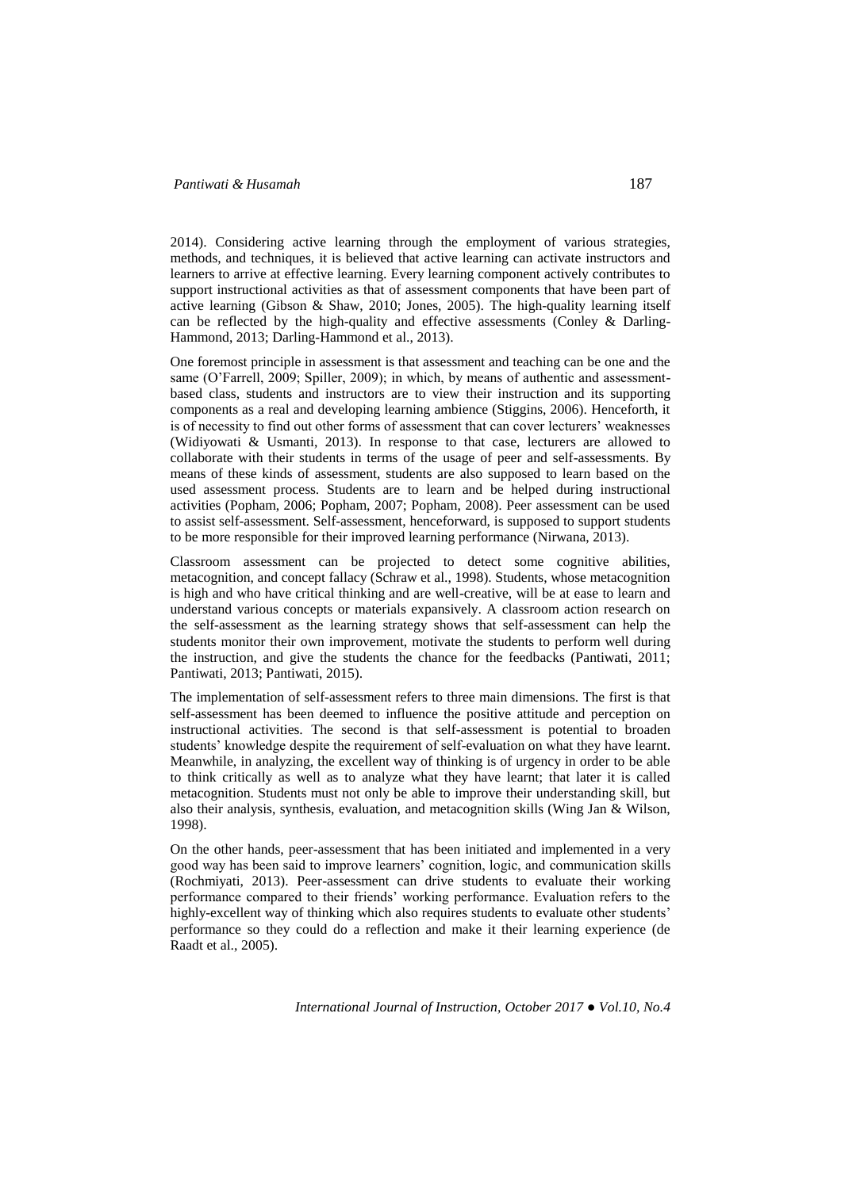2014). Considering active learning through the employment of various strategies, methods, and techniques, it is believed that active learning can activate instructors and learners to arrive at effective learning. Every learning component actively contributes to support instructional activities as that of assessment components that have been part of active learning (Gibson & Shaw, 2010; Jones, 2005). The high-quality learning itself can be reflected by the high-quality and effective assessments (Conley  $\&$  Darling-Hammond, 2013; Darling-Hammond et al., 2013).

One foremost principle in assessment is that assessment and teaching can be one and the same (O'Farrell, 2009; Spiller, 2009); in which, by means of authentic and assessmentbased class, students and instructors are to view their instruction and its supporting components as a real and developing learning ambience (Stiggins, 2006). Henceforth, it is of necessity to find out other forms of assessment that can cover lecturers' weaknesses (Widiyowati & Usmanti, 2013). In response to that case, lecturers are allowed to collaborate with their students in terms of the usage of peer and self-assessments. By means of these kinds of assessment, students are also supposed to learn based on the used assessment process. Students are to learn and be helped during instructional activities (Popham, 2006; Popham, 2007; Popham, 2008). Peer assessment can be used to assist self-assessment. Self-assessment, henceforward, is supposed to support students to be more responsible for their improved learning performance (Nirwana, 2013).

Classroom assessment can be projected to detect some cognitive abilities, metacognition, and concept fallacy (Schraw et al., 1998). Students, whose metacognition is high and who have critical thinking and are well-creative, will be at ease to learn and understand various concepts or materials expansively. A classroom action research on the self-assessment as the learning strategy shows that self-assessment can help the students monitor their own improvement, motivate the students to perform well during the instruction, and give the students the chance for the feedbacks (Pantiwati, 2011; Pantiwati, 2013; Pantiwati, 2015).

The implementation of self-assessment refers to three main dimensions. The first is that self-assessment has been deemed to influence the positive attitude and perception on instructional activities. The second is that self-assessment is potential to broaden students' knowledge despite the requirement of self-evaluation on what they have learnt. Meanwhile, in analyzing, the excellent way of thinking is of urgency in order to be able to think critically as well as to analyze what they have learnt; that later it is called metacognition. Students must not only be able to improve their understanding skill, but also their analysis, synthesis, evaluation, and metacognition skills (Wing Jan & Wilson, 1998).

On the other hands, peer-assessment that has been initiated and implemented in a very good way has been said to improve learners' cognition, logic, and communication skills (Rochmiyati, 2013). Peer-assessment can drive students to evaluate their working performance compared to their friends' working performance. Evaluation refers to the highly-excellent way of thinking which also requires students to evaluate other students' performance so they could do a reflection and make it their learning experience (de Raadt et al., 2005).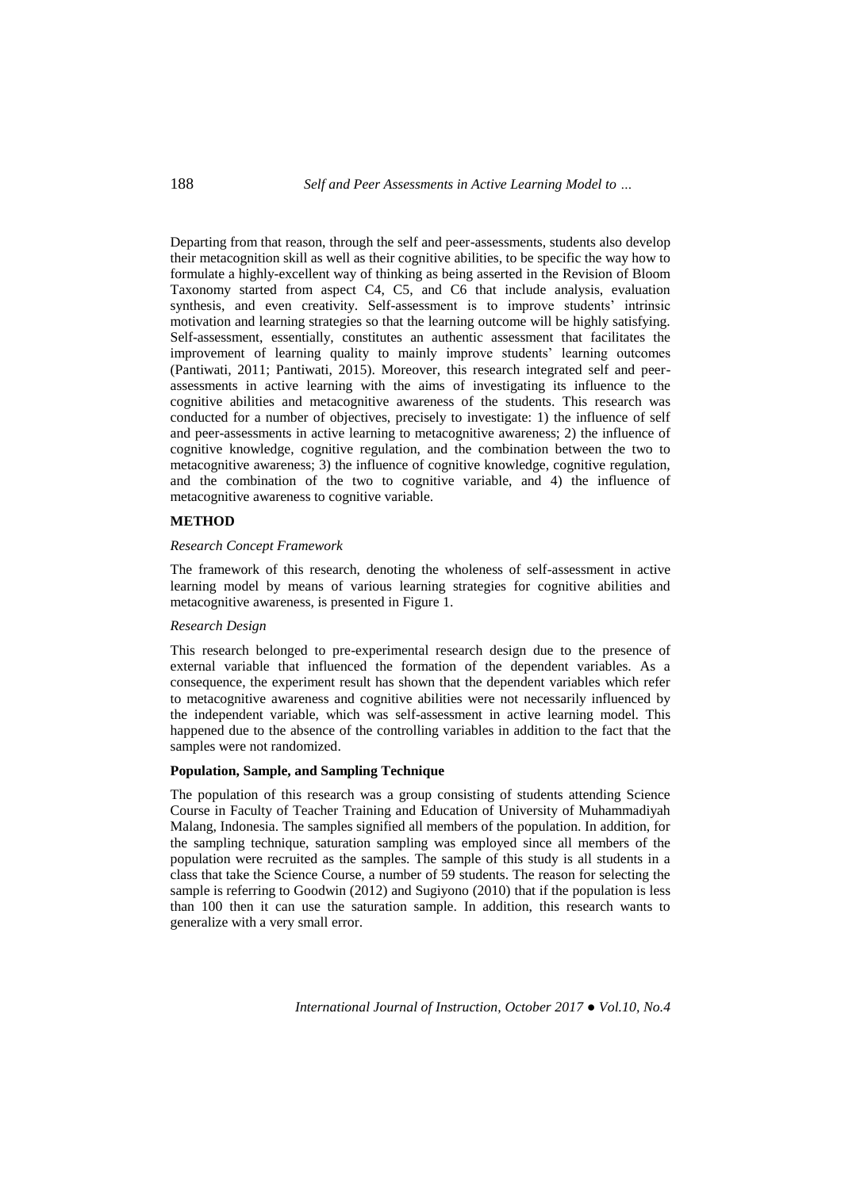Departing from that reason, through the self and peer-assessments, students also develop their metacognition skill as well as their cognitive abilities, to be specific the way how to formulate a highly-excellent way of thinking as being asserted in the Revision of Bloom Taxonomy started from aspect C4, C5, and C6 that include analysis, evaluation synthesis, and even creativity. Self-assessment is to improve students' intrinsic motivation and learning strategies so that the learning outcome will be highly satisfying. Self-assessment, essentially, constitutes an authentic assessment that facilitates the improvement of learning quality to mainly improve students' learning outcomes (Pantiwati, 2011; Pantiwati, 2015). Moreover, this research integrated self and peerassessments in active learning with the aims of investigating its influence to the cognitive abilities and metacognitive awareness of the students. This research was conducted for a number of objectives, precisely to investigate: 1) the influence of self and peer-assessments in active learning to metacognitive awareness; 2) the influence of cognitive knowledge, cognitive regulation, and the combination between the two to metacognitive awareness; 3) the influence of cognitive knowledge, cognitive regulation, and the combination of the two to cognitive variable, and 4) the influence of metacognitive awareness to cognitive variable.

## **METHOD**

### *Research Concept Framework*

The framework of this research, denoting the wholeness of self-assessment in active learning model by means of various learning strategies for cognitive abilities and metacognitive awareness, is presented in Figure 1.

## *Research Design*

This research belonged to pre-experimental research design due to the presence of external variable that influenced the formation of the dependent variables. As a consequence, the experiment result has shown that the dependent variables which refer to metacognitive awareness and cognitive abilities were not necessarily influenced by the independent variable, which was self-assessment in active learning model. This happened due to the absence of the controlling variables in addition to the fact that the samples were not randomized.

# **Population, Sample, and Sampling Technique**

The population of this research was a group consisting of students attending Science Course in Faculty of Teacher Training and Education of University of Muhammadiyah Malang, Indonesia. The samples signified all members of the population. In addition, for the sampling technique, saturation sampling was employed since all members of the population were recruited as the samples. The sample of this study is all students in a class that take the Science Course, a number of 59 students. The reason for selecting the sample is referring to Goodwin (2012) and Sugiyono (2010) that if the population is less than 100 then it can use the saturation sample. In addition, this research wants to generalize with a very small error.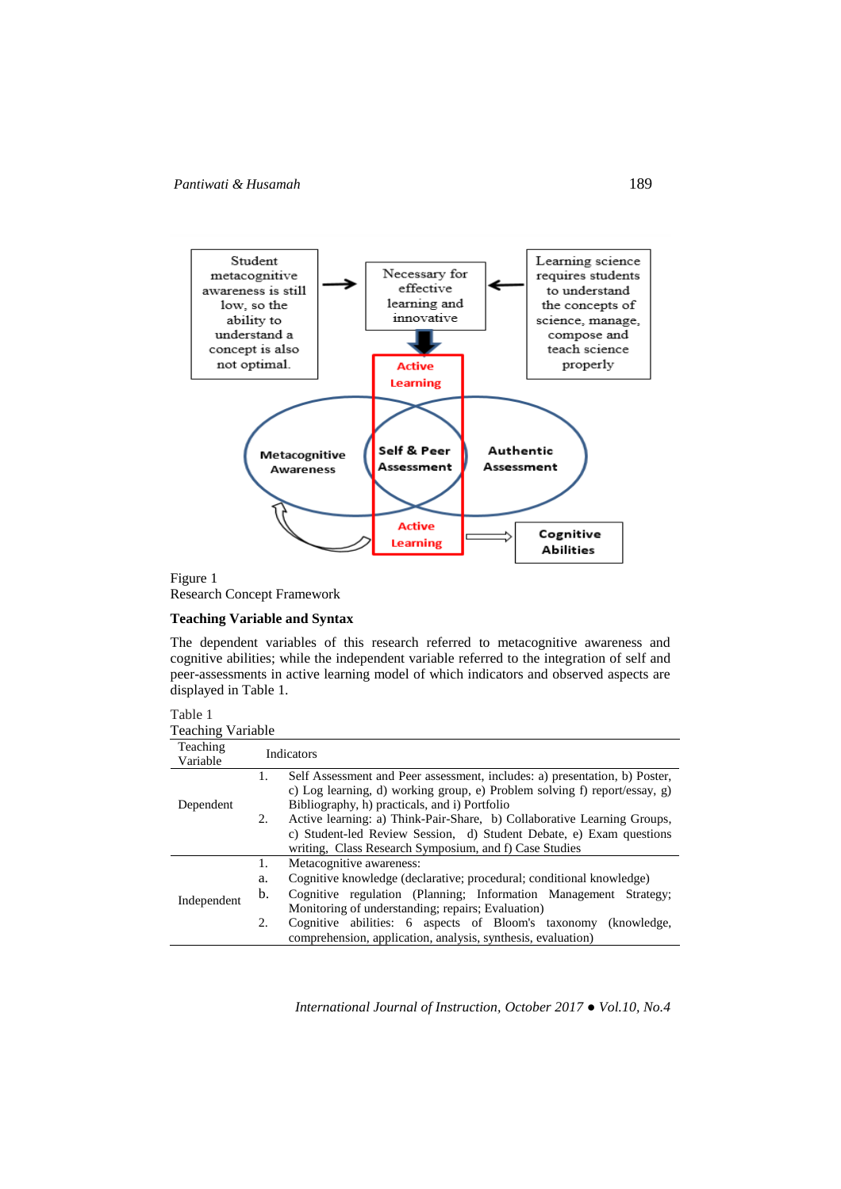# *Pantiwati & Husamah* 189





### **Teaching Variable and Syntax**

The dependent variables of this research referred to metacognitive awareness and cognitive abilities; while the independent variable referred to the integration of self and peer-assessments in active learning model of which indicators and observed aspects are displayed in Table 1.

| Table 1          |  |
|------------------|--|
| Topohing Vorichl |  |

| reaching variable                                      |                                                                                  |  |  |
|--------------------------------------------------------|----------------------------------------------------------------------------------|--|--|
| Teaching<br>Variable                                   | <b>Indicators</b>                                                                |  |  |
|                                                        | Self Assessment and Peer assessment, includes: a) presentation, b) Poster,<br>1. |  |  |
| Dependent                                              | c) Log learning, d) working group, e) Problem solving f) report/essay, g)        |  |  |
|                                                        | Bibliography, h) practicals, and i) Portfolio                                    |  |  |
|                                                        | Active learning: a) Think-Pair-Share, b) Collaborative Learning Groups,<br>2.    |  |  |
|                                                        | c) Student-led Review Session, d) Student Debate, e) Exam questions              |  |  |
| writing, Class Research Symposium, and f) Case Studies |                                                                                  |  |  |
|                                                        | Metacognitive awareness:<br>1.                                                   |  |  |
| Independent                                            | Cognitive knowledge (declarative; procedural; conditional knowledge)<br>a.       |  |  |
|                                                        | b.<br>Cognitive regulation (Planning; Information Management Strategy;           |  |  |
|                                                        | Monitoring of understanding; repairs; Evaluation)                                |  |  |
|                                                        | Cognitive abilities: 6 aspects of Bloom's taxonomy (knowledge,<br>2.             |  |  |
|                                                        | comprehension, application, analysis, synthesis, evaluation)                     |  |  |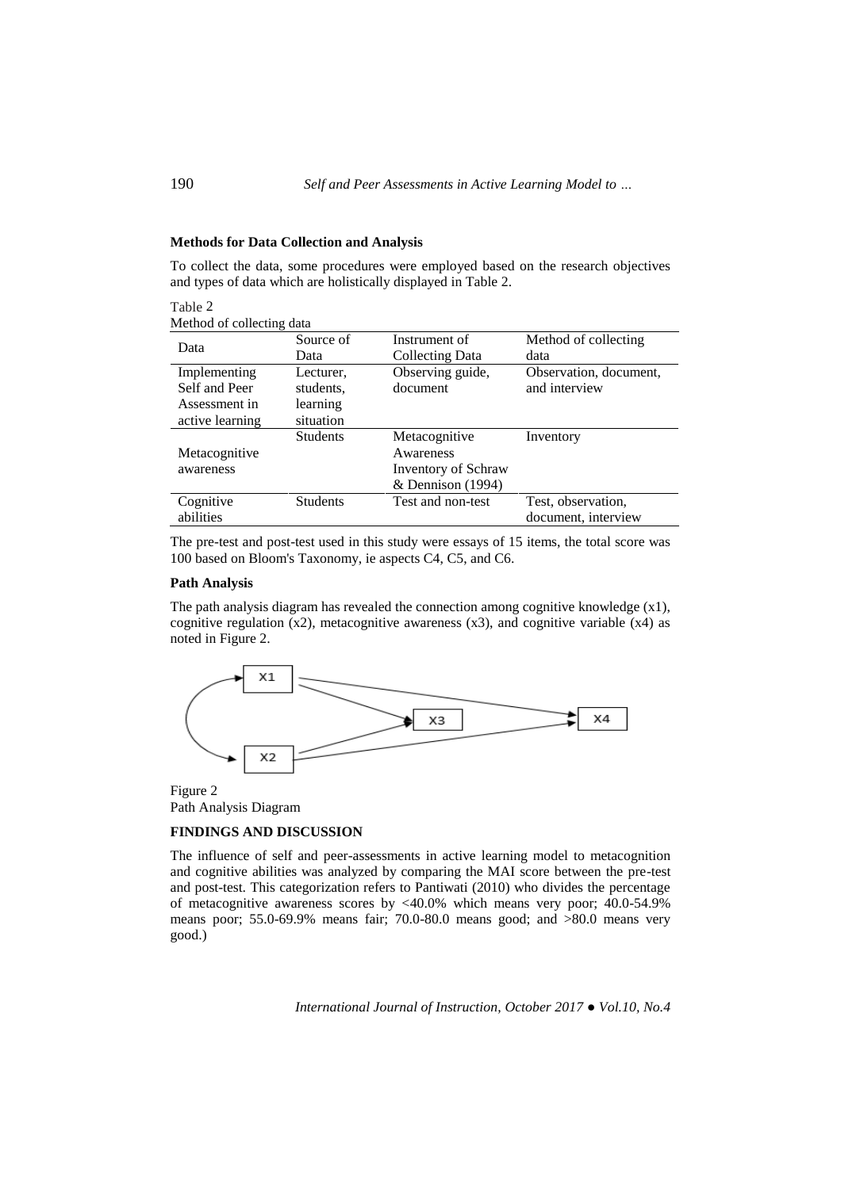### **Methods for Data Collection and Analysis**

To collect the data, some procedures were employed based on the research objectives and types of data which are holistically displayed in Table 2.

Table 2 Method of collecting data

| Data                                                              | Source of<br>Data                               | Instrument of<br>Collecting Data                                         | Method of collecting<br>data              |
|-------------------------------------------------------------------|-------------------------------------------------|--------------------------------------------------------------------------|-------------------------------------------|
| Implementing<br>Self and Peer<br>Assessment in<br>active learning | Lecturer,<br>students,<br>learning<br>situation | Observing guide,<br>document                                             | Observation, document,<br>and interview   |
| Metacognitive<br>awareness                                        | <b>Students</b>                                 | Metacognitive<br>Awareness<br>Inventory of Schraw<br>$&$ Dennison (1994) | Inventory                                 |
| Cognitive<br>abilities                                            | <b>Students</b>                                 | Test and non-test                                                        | Test, observation,<br>document, interview |

The pre-test and post-test used in this study were essays of 15 items, the total score was 100 based on Bloom's Taxonomy, ie aspects C4, C5, and C6.

### **Path Analysis**

The path analysis diagram has revealed the connection among cognitive knowledge (x1), cognitive regulation  $(x2)$ , metacognitive awareness  $(x3)$ , and cognitive variable  $(x4)$  as noted in Figure 2.



Figure 2 Path Analysis Diagram

### **FINDINGS AND DISCUSSION**

The influence of self and peer-assessments in active learning model to metacognition and cognitive abilities was analyzed by comparing the MAI score between the pre-test and post-test. This categorization refers to Pantiwati (2010) who divides the percentage of metacognitive awareness scores by <40.0% which means very poor; 40.0-54.9% means poor; 55.0-69.9% means fair; 70.0-80.0 means good; and >80.0 means very good.)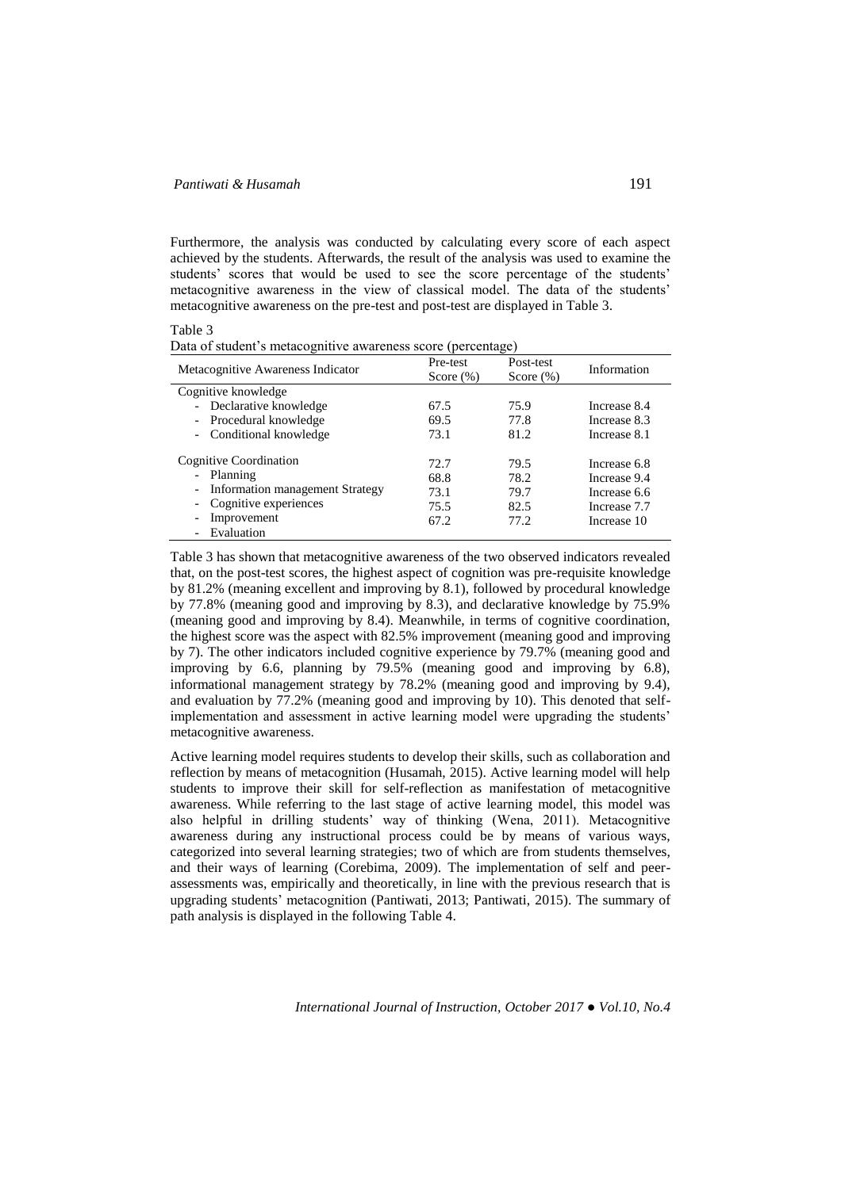## *Pantiwati & Husamah* 191

Furthermore, the analysis was conducted by calculating every score of each aspect achieved by the students. Afterwards, the result of the analysis was used to examine the students' scores that would be used to see the score percentage of the students' metacognitive awareness in the view of classical model. The data of the students' metacognitive awareness on the pre-test and post-test are displayed in Table 3.

Table 3

Data of student's metacognitive awareness score (percentage)

| Metacognitive Awareness Indicator                                                 | Pre-test<br>Score $(\%)$ | Post-test<br>Score $(\%)$ | Information                                  |
|-----------------------------------------------------------------------------------|--------------------------|---------------------------|----------------------------------------------|
| Cognitive knowledge                                                               |                          |                           |                                              |
| - Declarative knowledge                                                           | 67.5                     | 75.9                      | Increase 8.4                                 |
| - Procedural knowledge                                                            | 69.5                     | 77.8                      | Increase 8.3                                 |
| - Conditional knowledge                                                           | 73.1                     | 81.2                      | Increase 8.1                                 |
| Cognitive Coordination<br>- Planning<br>Information management Strategy<br>$\sim$ | 72.7<br>68.8<br>73.1     | 79.5<br>78.2<br>79.7      | Increase 6.8<br>Increase 9.4<br>Increase 6.6 |
| Cognitive experiences<br>$\overline{\phantom{a}}$                                 | 75.5                     | 82.5                      | Increase 7.7                                 |
| Improvement<br>$\overline{\phantom{a}}$<br>Evaluation<br>$\overline{\phantom{a}}$ | 67.2                     | 77.2                      | Increase 10                                  |

Table 3 has shown that metacognitive awareness of the two observed indicators revealed that, on the post-test scores, the highest aspect of cognition was pre-requisite knowledge by 81.2% (meaning excellent and improving by 8.1), followed by procedural knowledge by 77.8% (meaning good and improving by 8.3), and declarative knowledge by 75.9% (meaning good and improving by 8.4). Meanwhile, in terms of cognitive coordination, the highest score was the aspect with 82.5% improvement (meaning good and improving by 7). The other indicators included cognitive experience by 79.7% (meaning good and improving by 6.6, planning by 79.5% (meaning good and improving by 6.8), informational management strategy by 78.2% (meaning good and improving by 9.4), and evaluation by 77.2% (meaning good and improving by 10). This denoted that selfimplementation and assessment in active learning model were upgrading the students' metacognitive awareness.

Active learning model requires students to develop their skills, such as collaboration and reflection by means of metacognition (Husamah, 2015). Active learning model will help students to improve their skill for self-reflection as manifestation of metacognitive awareness. While referring to the last stage of active learning model, this model was also helpful in drilling students' way of thinking (Wena, 2011). Metacognitive awareness during any instructional process could be by means of various ways, categorized into several learning strategies; two of which are from students themselves, and their ways of learning (Corebima, 2009). The implementation of self and peerassessments was, empirically and theoretically, in line with the previous research that is upgrading students' metacognition (Pantiwati, 2013; Pantiwati, 2015). The summary of path analysis is displayed in the following Table 4.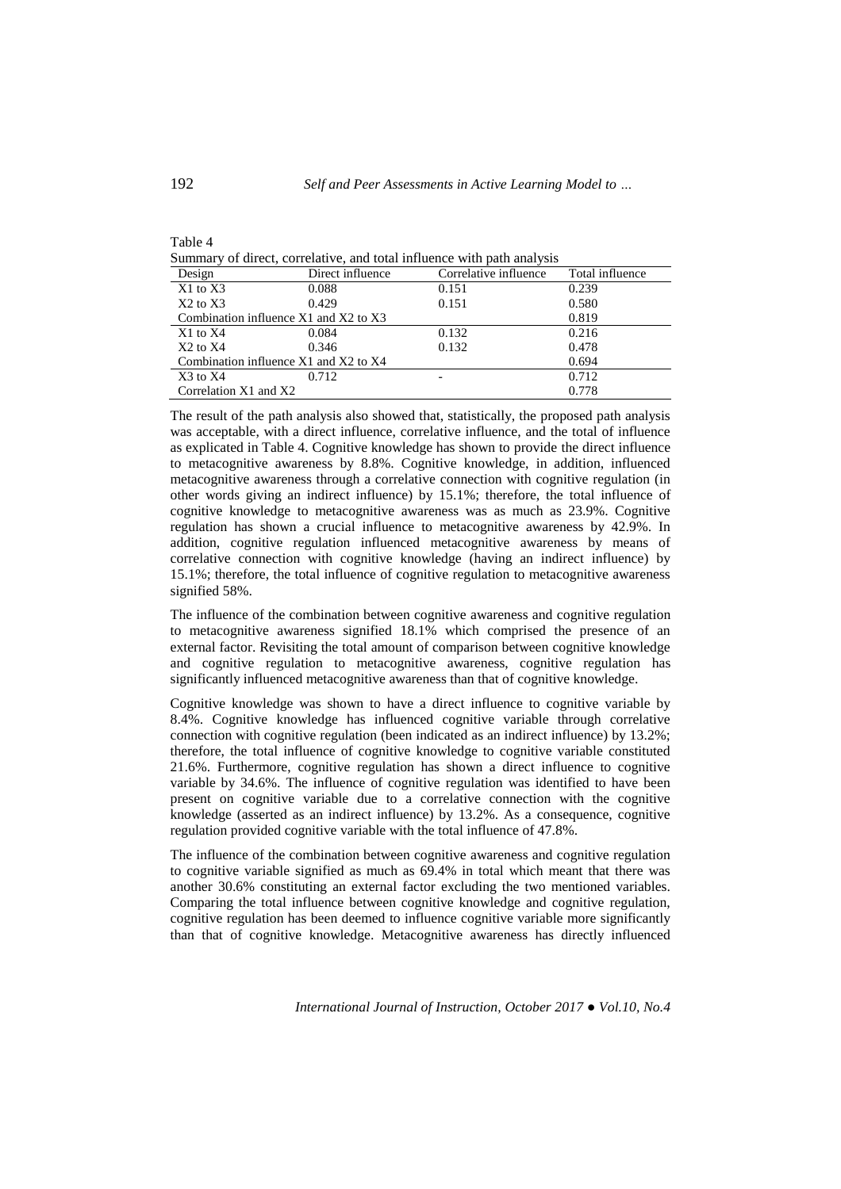| Summary of direct, correlative, and total influence with path analysis |                  |                       |                 |  |
|------------------------------------------------------------------------|------------------|-----------------------|-----------------|--|
| Design                                                                 | Direct influence | Correlative influence | Total influence |  |
| $X1$ to $X3$                                                           | 0.088            | 0.151                 | 0.239           |  |
| $X2$ to $X3$                                                           | 0.429            | 0.151                 | 0.580           |  |
| Combination influence X1 and X2 to X3                                  |                  |                       | 0.819           |  |
| $X1$ to $X4$                                                           | 0.084            | 0.132                 | 0.216           |  |
| $X2$ to $X4$                                                           | 0.346            | 0.132                 | 0.478           |  |
| Combination influence X1 and X2 to X4                                  |                  |                       | 0.694           |  |
| $X3$ to $X4$                                                           | 0.712            |                       | 0.712           |  |
| Correlation X1 and X2                                                  |                  |                       | 0.778           |  |

The result of the path analysis also showed that, statistically, the proposed path analysis was acceptable, with a direct influence, correlative influence, and the total of influence as explicated in Table 4. Cognitive knowledge has shown to provide the direct influence to metacognitive awareness by 8.8%. Cognitive knowledge, in addition, influenced metacognitive awareness through a correlative connection with cognitive regulation (in other words giving an indirect influence) by 15.1%; therefore, the total influence of cognitive knowledge to metacognitive awareness was as much as 23.9%. Cognitive regulation has shown a crucial influence to metacognitive awareness by 42.9%. In addition, cognitive regulation influenced metacognitive awareness by means of correlative connection with cognitive knowledge (having an indirect influence) by 15.1%; therefore, the total influence of cognitive regulation to metacognitive awareness signified 58%.

The influence of the combination between cognitive awareness and cognitive regulation to metacognitive awareness signified 18.1% which comprised the presence of an external factor. Revisiting the total amount of comparison between cognitive knowledge and cognitive regulation to metacognitive awareness, cognitive regulation has significantly influenced metacognitive awareness than that of cognitive knowledge.

Cognitive knowledge was shown to have a direct influence to cognitive variable by 8.4%. Cognitive knowledge has influenced cognitive variable through correlative connection with cognitive regulation (been indicated as an indirect influence) by 13.2%; therefore, the total influence of cognitive knowledge to cognitive variable constituted 21.6%. Furthermore, cognitive regulation has shown a direct influence to cognitive variable by 34.6%. The influence of cognitive regulation was identified to have been present on cognitive variable due to a correlative connection with the cognitive knowledge (asserted as an indirect influence) by 13.2%. As a consequence, cognitive regulation provided cognitive variable with the total influence of 47.8%.

The influence of the combination between cognitive awareness and cognitive regulation to cognitive variable signified as much as 69.4% in total which meant that there was another 30.6% constituting an external factor excluding the two mentioned variables. Comparing the total influence between cognitive knowledge and cognitive regulation, cognitive regulation has been deemed to influence cognitive variable more significantly than that of cognitive knowledge. Metacognitive awareness has directly influenced

*International Journal of Instruction, October 2017 ● Vol.10, No.4*

Table 4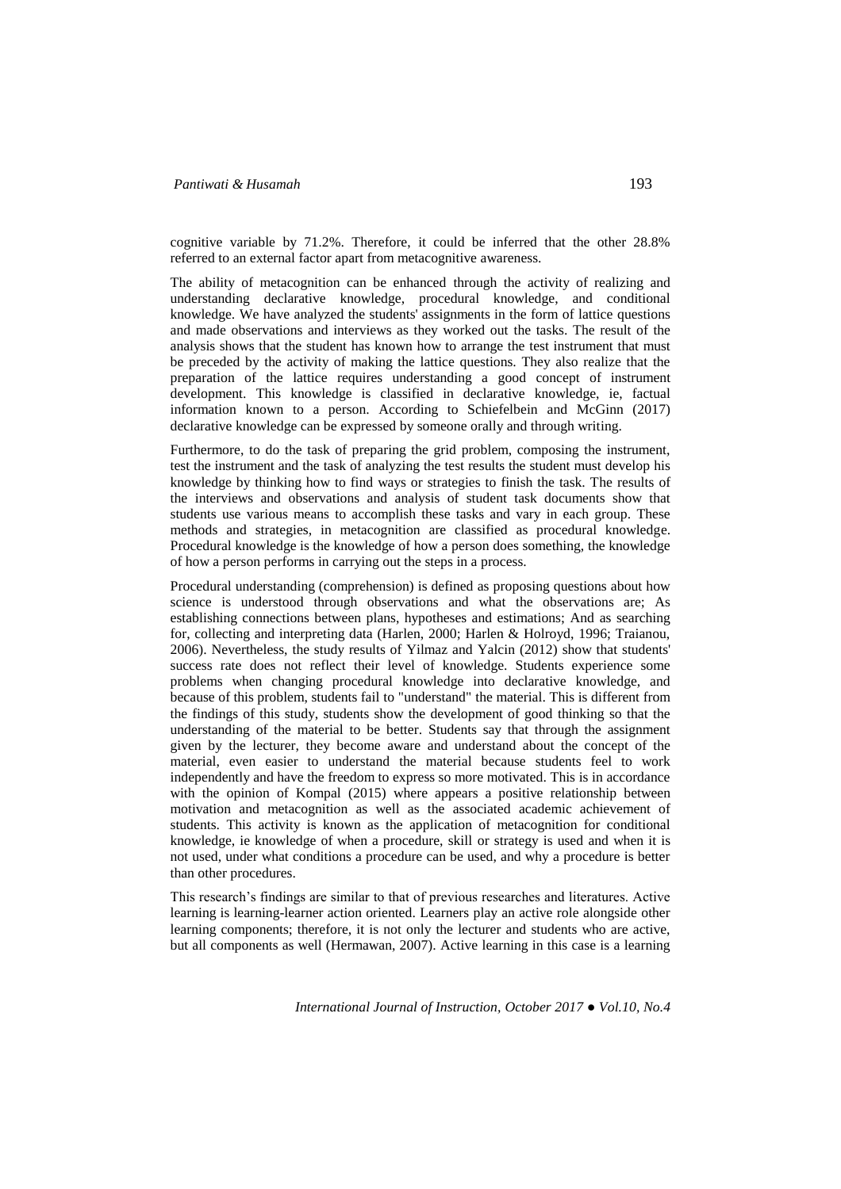cognitive variable by 71.2%. Therefore, it could be inferred that the other 28.8% referred to an external factor apart from metacognitive awareness.

The ability of metacognition can be enhanced through the activity of realizing and understanding declarative knowledge, procedural knowledge, and conditional knowledge. We have analyzed the students' assignments in the form of lattice questions and made observations and interviews as they worked out the tasks. The result of the analysis shows that the student has known how to arrange the test instrument that must be preceded by the activity of making the lattice questions. They also realize that the preparation of the lattice requires understanding a good concept of instrument development. This knowledge is classified in declarative knowledge, ie, factual information known to a person. According to Schiefelbein and McGinn (2017) declarative knowledge can be expressed by someone orally and through writing.

Furthermore, to do the task of preparing the grid problem, composing the instrument, test the instrument and the task of analyzing the test results the student must develop his knowledge by thinking how to find ways or strategies to finish the task. The results of the interviews and observations and analysis of student task documents show that students use various means to accomplish these tasks and vary in each group. These methods and strategies, in metacognition are classified as procedural knowledge. Procedural knowledge is the knowledge of how a person does something, the knowledge of how a person performs in carrying out the steps in a process.

Procedural understanding (comprehension) is defined as proposing questions about how science is understood through observations and what the observations are; As establishing connections between plans, hypotheses and estimations; And as searching for, collecting and interpreting data (Harlen, 2000; Harlen & Holroyd, 1996; Traianou, 2006). Nevertheless, the study results of Yilmaz and Yalcin (2012) show that students' success rate does not reflect their level of knowledge. Students experience some problems when changing procedural knowledge into declarative knowledge, and because of this problem, students fail to "understand" the material. This is different from the findings of this study, students show the development of good thinking so that the understanding of the material to be better. Students say that through the assignment given by the lecturer, they become aware and understand about the concept of the material, even easier to understand the material because students feel to work independently and have the freedom to express so more motivated. This is in accordance with the opinion of Kompal (2015) where appears a positive relationship between motivation and metacognition as well as the associated academic achievement of students. This activity is known as the application of metacognition for conditional knowledge, ie knowledge of when a procedure, skill or strategy is used and when it is not used, under what conditions a procedure can be used, and why a procedure is better than other procedures.

This research's findings are similar to that of previous researches and literatures. Active learning is learning-learner action oriented. Learners play an active role alongside other learning components; therefore, it is not only the lecturer and students who are active, but all components as well (Hermawan, 2007). Active learning in this case is a learning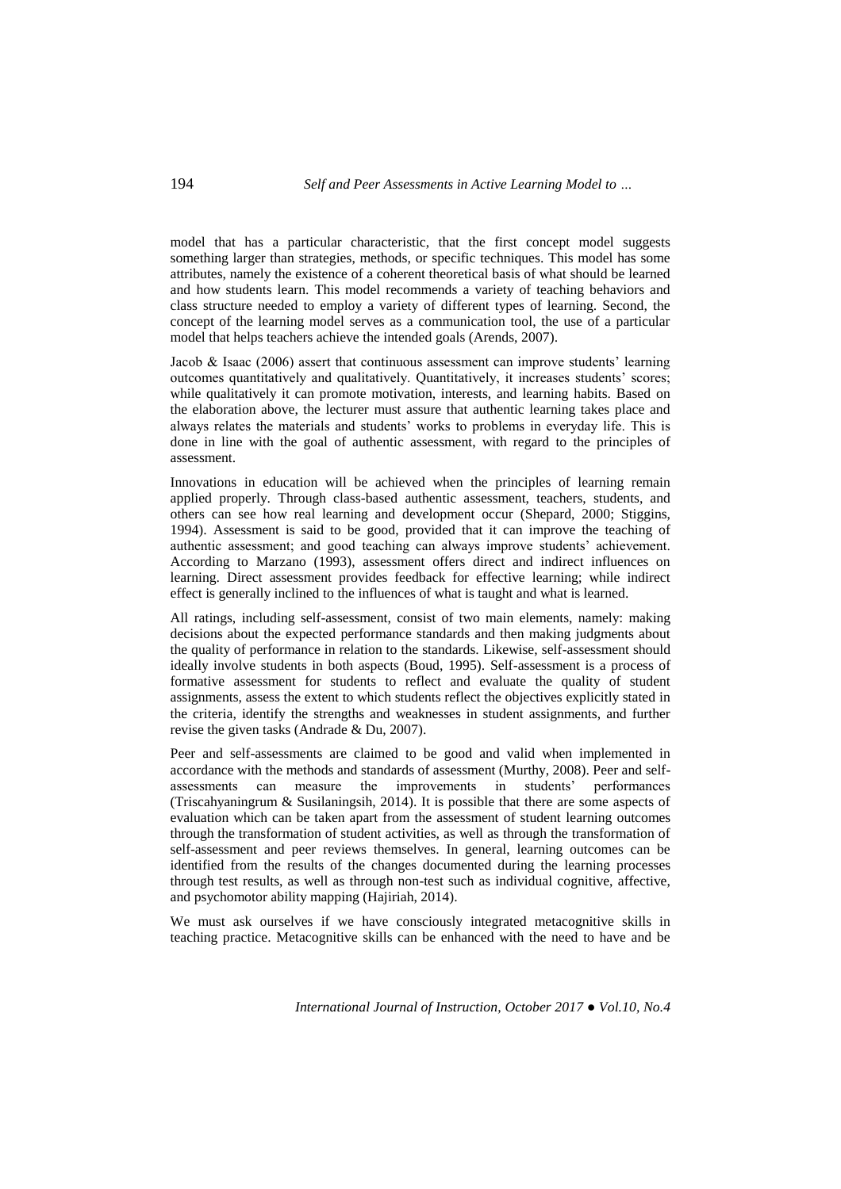model that has a particular characteristic, that the first concept model suggests something larger than strategies, methods, or specific techniques. This model has some attributes, namely the existence of a coherent theoretical basis of what should be learned and how students learn. This model recommends a variety of teaching behaviors and class structure needed to employ a variety of different types of learning. Second, the concept of the learning model serves as a communication tool, the use of a particular model that helps teachers achieve the intended goals (Arends, 2007).

Jacob & Isaac (2006) assert that continuous assessment can improve students' learning outcomes quantitatively and qualitatively. Quantitatively, it increases students' scores; while qualitatively it can promote motivation, interests, and learning habits. Based on the elaboration above, the lecturer must assure that authentic learning takes place and always relates the materials and students' works to problems in everyday life. This is done in line with the goal of authentic assessment, with regard to the principles of assessment.

Innovations in education will be achieved when the principles of learning remain applied properly. Through class-based authentic assessment, teachers, students, and others can see how real learning and development occur (Shepard, 2000; Stiggins, 1994). Assessment is said to be good, provided that it can improve the teaching of authentic assessment; and good teaching can always improve students' achievement. According to Marzano (1993), assessment offers direct and indirect influences on learning. Direct assessment provides feedback for effective learning; while indirect effect is generally inclined to the influences of what is taught and what is learned.

All ratings, including self-assessment, consist of two main elements, namely: making decisions about the expected performance standards and then making judgments about the quality of performance in relation to the standards. Likewise, self-assessment should ideally involve students in both aspects (Boud, 1995). Self-assessment is a process of formative assessment for students to reflect and evaluate the quality of student assignments, assess the extent to which students reflect the objectives explicitly stated in the criteria, identify the strengths and weaknesses in student assignments, and further revise the given tasks (Andrade & Du, 2007).

Peer and self-assessments are claimed to be good and valid when implemented in accordance with the methods and standards of assessment (Murthy, 2008). Peer and self-assessments can measure the improvements in students' performances assessments can measure the improvements in students' (Triscahyaningrum & Susilaningsih, 2014). It is possible that there are some aspects of evaluation which can be taken apart from the assessment of student learning outcomes through the transformation of student activities, as well as through the transformation of self-assessment and peer reviews themselves. In general, learning outcomes can be identified from the results of the changes documented during the learning processes through test results, as well as through non-test such as individual cognitive, affective, and psychomotor ability mapping (Hajiriah, 2014).

We must ask ourselves if we have consciously integrated metacognitive skills in teaching practice. Metacognitive skills can be enhanced with the need to have and be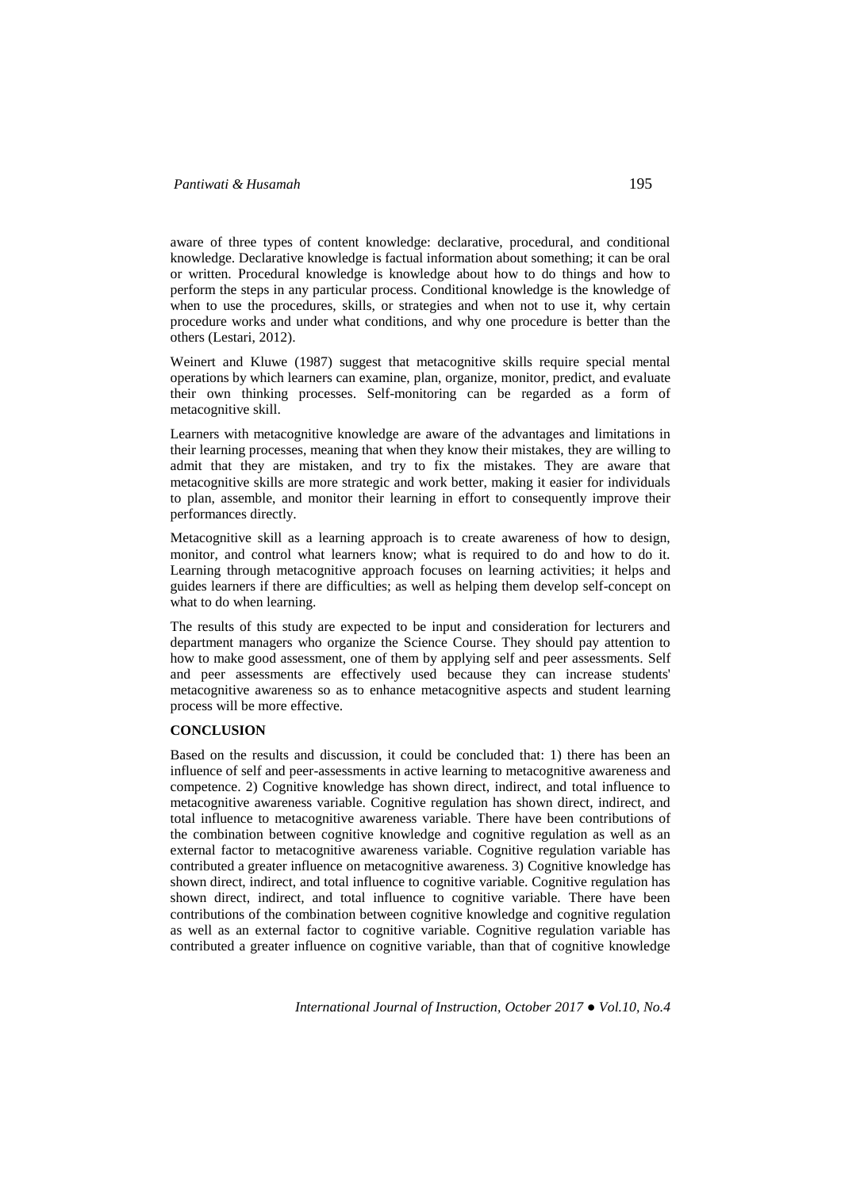aware of three types of content knowledge: declarative, procedural, and conditional knowledge. Declarative knowledge is factual information about something; it can be oral or written. Procedural knowledge is knowledge about how to do things and how to perform the steps in any particular process. Conditional knowledge is the knowledge of when to use the procedures, skills, or strategies and when not to use it, why certain procedure works and under what conditions, and why one procedure is better than the others (Lestari, 2012).

Weinert and Kluwe (1987) suggest that metacognitive skills require special mental operations by which learners can examine, plan, organize, monitor, predict, and evaluate their own thinking processes. Self-monitoring can be regarded as a form of metacognitive skill.

Learners with metacognitive knowledge are aware of the advantages and limitations in their learning processes, meaning that when they know their mistakes, they are willing to admit that they are mistaken, and try to fix the mistakes. They are aware that metacognitive skills are more strategic and work better, making it easier for individuals to plan, assemble, and monitor their learning in effort to consequently improve their performances directly.

Metacognitive skill as a learning approach is to create awareness of how to design, monitor, and control what learners know; what is required to do and how to do it. Learning through metacognitive approach focuses on learning activities; it helps and guides learners if there are difficulties; as well as helping them develop self-concept on what to do when learning.

The results of this study are expected to be input and consideration for lecturers and department managers who organize the Science Course. They should pay attention to how to make good assessment, one of them by applying self and peer assessments. Self and peer assessments are effectively used because they can increase students' metacognitive awareness so as to enhance metacognitive aspects and student learning process will be more effective.

### **CONCLUSION**

Based on the results and discussion, it could be concluded that: 1) there has been an influence of self and peer-assessments in active learning to metacognitive awareness and competence. 2) Cognitive knowledge has shown direct, indirect, and total influence to metacognitive awareness variable. Cognitive regulation has shown direct, indirect, and total influence to metacognitive awareness variable. There have been contributions of the combination between cognitive knowledge and cognitive regulation as well as an external factor to metacognitive awareness variable. Cognitive regulation variable has contributed a greater influence on metacognitive awareness. 3) Cognitive knowledge has shown direct, indirect, and total influence to cognitive variable. Cognitive regulation has shown direct, indirect, and total influence to cognitive variable. There have been contributions of the combination between cognitive knowledge and cognitive regulation as well as an external factor to cognitive variable. Cognitive regulation variable has contributed a greater influence on cognitive variable, than that of cognitive knowledge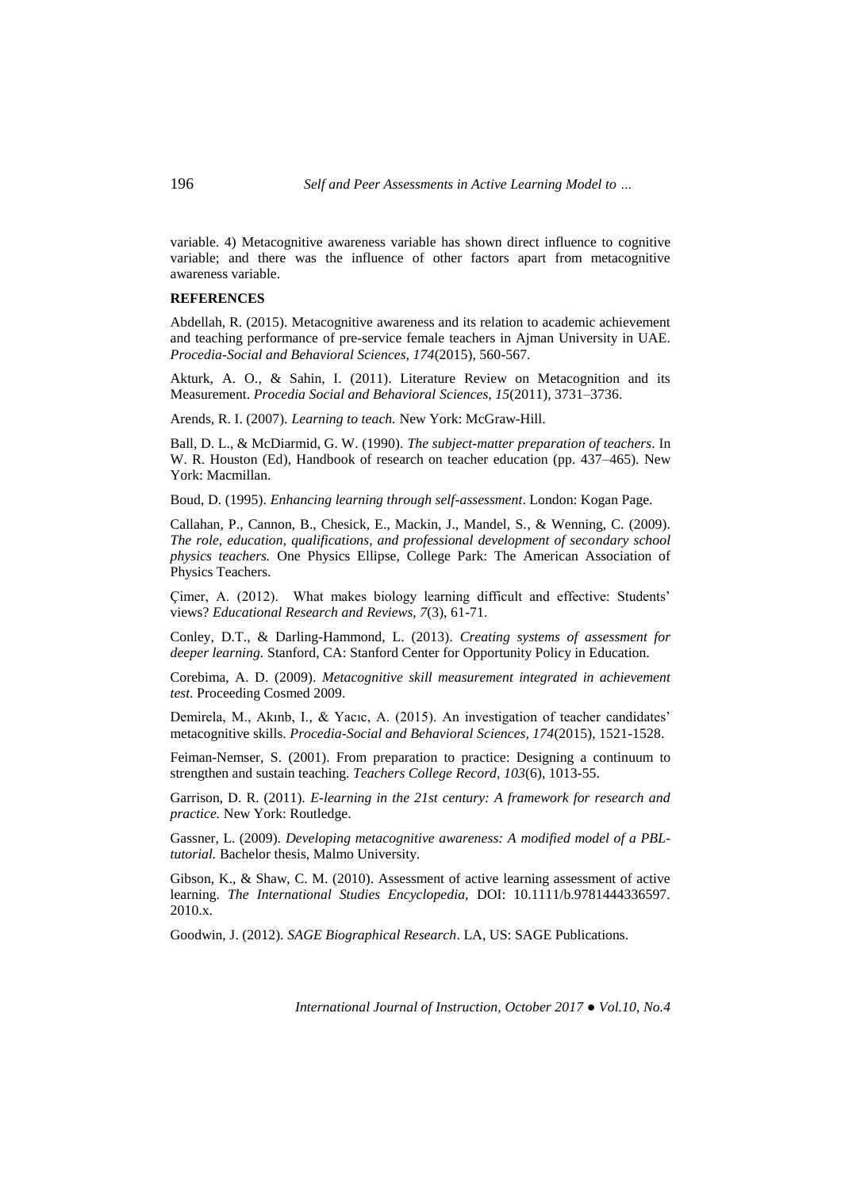variable. 4) Metacognitive awareness variable has shown direct influence to cognitive variable; and there was the influence of other factors apart from metacognitive awareness variable.

### **REFERENCES**

Abdellah, R. (2015). Metacognitive awareness and its relation to academic achievement and teaching performance of pre-service female teachers in Ajman University in UAE. *Procedia-Social and Behavioral Sciences, 174*(2015), 560-567.

Akturk, A. O., & Sahin, I. (2011). Literature Review on Metacognition and its Measurement. *Procedia Social and Behavioral Sciences, 15*(2011), 3731–3736.

Arends, R. I. (2007). *Learning to teach.* New York: McGraw-Hill.

Ball, D. L., & McDiarmid, G. W. (1990). *The subject-matter preparation of teachers*. In W. R. Houston (Ed), Handbook of research on teacher education (pp. 437–465). New York: Macmillan.

Boud, D. (1995). *Enhancing learning through self-assessment*. London: Kogan Page.

Callahan, P., Cannon, B., Chesick, E., Mackin, J., Mandel, S., & Wenning, C. (2009). *The role, education, qualifications, and professional development of secondary school physics teachers.* One Physics Ellipse, College Park: The American Association of Physics Teachers.

Çimer, A. (2012). What makes biology learning difficult and effective: Students' views? *Educational Research and Reviews, 7*(3), 61-71.

Conley, D.T., & Darling-Hammond, L. (2013). *Creating systems of assessment for deeper learning.* Stanford, CA: Stanford Center for Opportunity Policy in Education.

Corebima, A. D. (2009). *Metacognitive skill measurement integrated in achievement test*. Proceeding Cosmed 2009.

Demirela, M., Akınb, I., & Yacıc, A. (2015). An investigation of teacher candidates' metacognitive skills. *Procedia-Social and Behavioral Sciences, 174*(2015), 1521-1528.

Feiman-Nemser, S. (2001). From preparation to practice: Designing a continuum to strengthen and sustain teaching. *Teachers College Record, 103*(6), 1013-55.

Garrison, D. R. (2011). *E-learning in the 21st century: A framework for research and practice.* New York: Routledge.

Gassner, L. (2009). *Developing metacognitive awareness: A modified model of a PBLtutorial.* Bachelor thesis, Malmo University.

Gibson, K., & Shaw, C. M. (2010). Assessment of active learning assessment of active learning. *The International Studies Encyclopedia,* DOI: 10.1111/b.9781444336597. 2010.x.

Goodwin, J. (2012). *SAGE Biographical Research*. LA, US: SAGE Publications.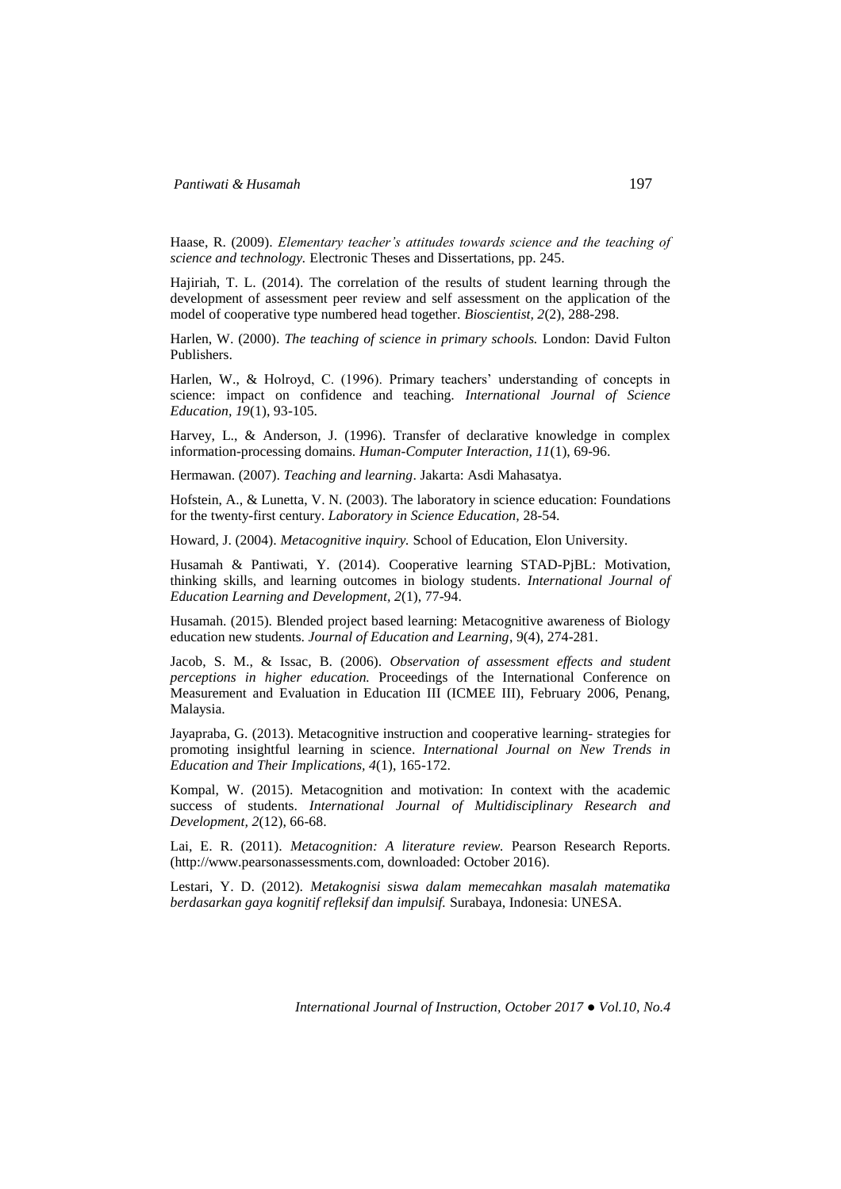# *Pantiwati & Husamah* 197

Haase, R. (2009). *Elementary teacher's attitudes towards science and the teaching of science and technology.* Electronic Theses and Dissertations, pp. 245.

Hajiriah, T. L. (2014). The correlation of the results of student learning through the development of assessment peer review and self assessment on the application of the model of cooperative type numbered head together. *Bioscientist, 2*(2), 288-298.

Harlen, W. (2000). *The teaching of science in primary schools.* London: David Fulton Publishers.

Harlen, W., & Holroyd, C. (1996). Primary teachers' understanding of concepts in science: impact on confidence and teaching. *International Journal of Science Education, 19*(1), 93-105.

Harvey, L., & Anderson, J. (1996). Transfer of declarative knowledge in complex information-processing domains. *Human-Computer Interaction, 11*(1), 69-96.

Hermawan. (2007). *Teaching and learning*. Jakarta: Asdi Mahasatya.

Hofstein, A., & Lunetta, V. N. (2003). The laboratory in science education: Foundations for the twenty-first century. *Laboratory in Science Education,* 28-54.

Howard, J. (2004). *Metacognitive inquiry.* School of Education, Elon University.

Husamah & Pantiwati, Y. (2014). [Cooperative learning STAD-PjBL: Motivation,](https://scholar.google.co.id/citations?view_op=view_citation&hl=en&user=CUBCCX8AAAAJ&imq=Husamah&citation_for_view=CUBCCX8AAAAJ:PYBJJbyH-FwC)  [thinking skills, and learning outcomes in biology students.](https://scholar.google.co.id/citations?view_op=view_citation&hl=en&user=CUBCCX8AAAAJ&imq=Husamah&citation_for_view=CUBCCX8AAAAJ:PYBJJbyH-FwC) *International Journal of Education Learning and Development, 2*(1), 77-94.

Husamah. (2015). Blended project based learning: Metacognitive awareness of Biology education new students. *Journal of Education and Learning*, 9(4), 274-281.

Jacob, S. M., & Issac, B. (2006). *Observation of assessment effects and student perceptions in higher education.* Proceedings of the International Conference on Measurement and Evaluation in Education III (ICMEE III), February 2006, Penang, Malaysia.

Jayapraba, G. (2013). Metacognitive instruction and cooperative learning- strategies for promoting insightful learning in science. *International Journal on New Trends in Education and Their Implications, 4*(1), 165-172.

Kompal, W. (2015). Metacognition and motivation: In context with the academic success of students. *International Journal of Multidisciplinary Research and Development, 2*(12), 66-68.

Lai, E. R. (2011). *Metacognition: A literature review.* Pearson Research Reports. (http://www.pearsonassessments.com, downloaded: October 2016).

Lestari, Y. D. (2012). *Metakognisi siswa dalam memecahkan masalah matematika berdasarkan gaya kognitif refleksif dan impulsif.* Surabaya, Indonesia: UNESA.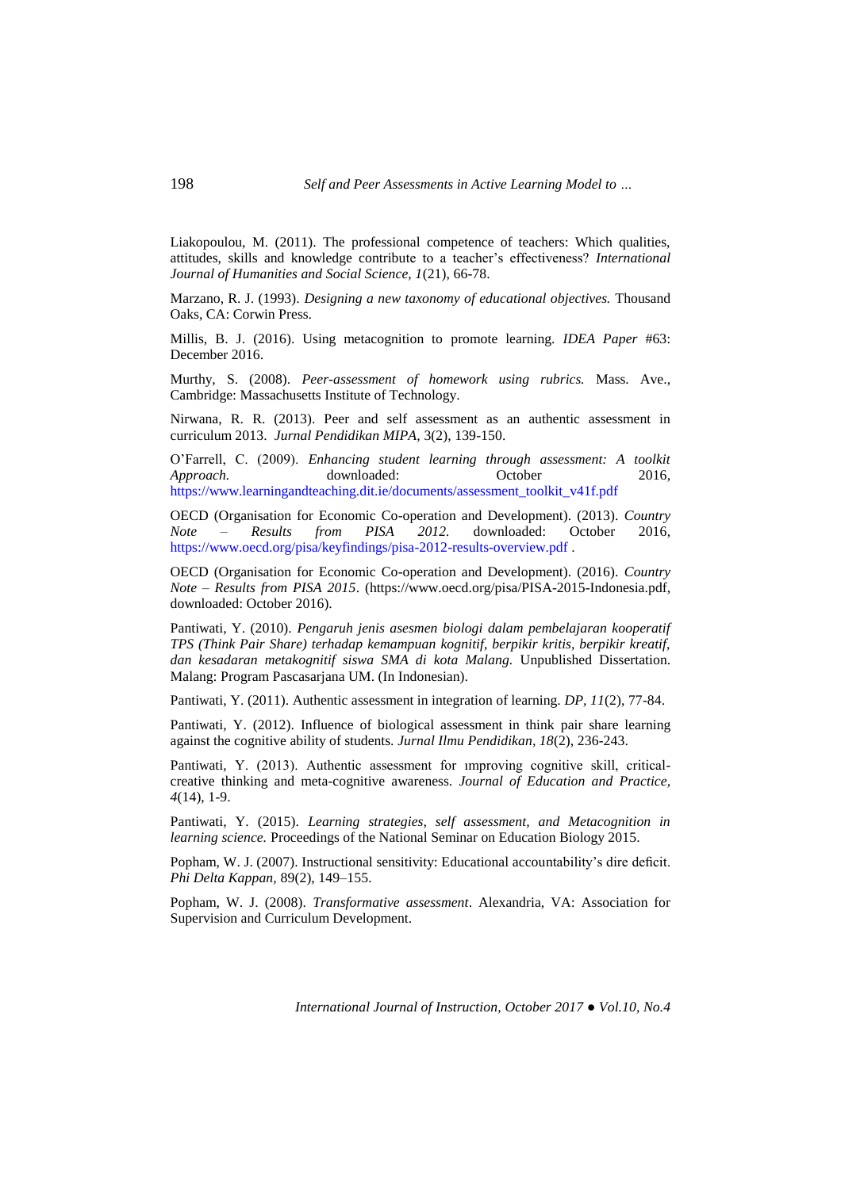Liakopoulou, M. (2011). The professional competence of teachers: Which qualities, attitudes, skills and knowledge contribute to a teacher's effectiveness? *International Journal of Humanities and Social Science, 1*(21), 66-78.

Marzano, R. J. (1993). *Designing a new taxonomy of educational objectives.* Thousand Oaks, CA: Corwin Press.

Millis, B. J. (2016). Using metacognition to promote learning. *IDEA Paper* #63: December 2016.

Murthy, S. (2008). *Peer-assessment of homework using rubrics.* Mass. Ave., Cambridge: Massachusetts Institute of Technology.

Nirwana, R. R. (2013). Peer and self assessment as an authentic assessment in curriculum 2013. *Jurnal Pendidikan MIPA,* 3(2), 139-150.

O'Farrell, C. (2009). *Enhancing student learning through assessment: A toolkit Approach.* downloaded: October 2016, [https://www.learningandteaching.dit.ie/documents/assessment\\_toolkit\\_v41f.pdf](https://www.learningandteaching.dit.ie/documents/assessment_toolkit_v41f.pdf)

OECD (Organisation for Economic Co-operation and Development). (2013). *Country Note – Results from PISA 2012.* downloaded: October 2016, <https://www.oecd.org/pisa/keyfindings/pisa-2012-results-overview.pdf> .

OECD (Organisation for Economic Co-operation and Development). (2016). *Country Note – Results from PISA 2015*. (https://www.oecd.org/pisa/PISA-2015-Indonesia.pdf, downloaded: October 2016).

Pantiwati, Y. (2010). *Pengaruh jenis asesmen biologi dalam pembelajaran kooperatif TPS (Think Pair Share) terhadap kemampuan kognitif, berpikir kritis, berpikir kreatif, dan kesadaran metakognitif siswa SMA di kota Malang.* Unpublished Dissertation. Malang: Program Pascasarjana UM. (In Indonesian).

Pantiwati, Y. (2011). Authentic assessment in integration of learning. *DP, 11*(2), 77-84.

Pantiwati, Y. (2012). Influence of biological assessment in think pair share learning against the cognitive ability of students. *Jurnal Ilmu Pendidikan, 18*(2), 236-243.

Pantiwati, Y. (2013). Authentic assessment for ımproving cognitive skill, criticalcreative thinking and meta-cognitive awareness. *Journal of Education and Practice, 4*(14), 1-9.

Pantiwati, Y. (2015). *Learning strategies, self assessment, and Metacognition in learning science.* Proceedings of the National Seminar on Education Biology 2015.

Popham, W. J. (2007). Instructional sensitivity: Educational accountability's dire deficit. *Phi Delta Kappan,* 89(2), 149–155.

Popham, W. J. (2008). *Transformative assessment*. Alexandria, VA: Association for Supervision and Curriculum Development.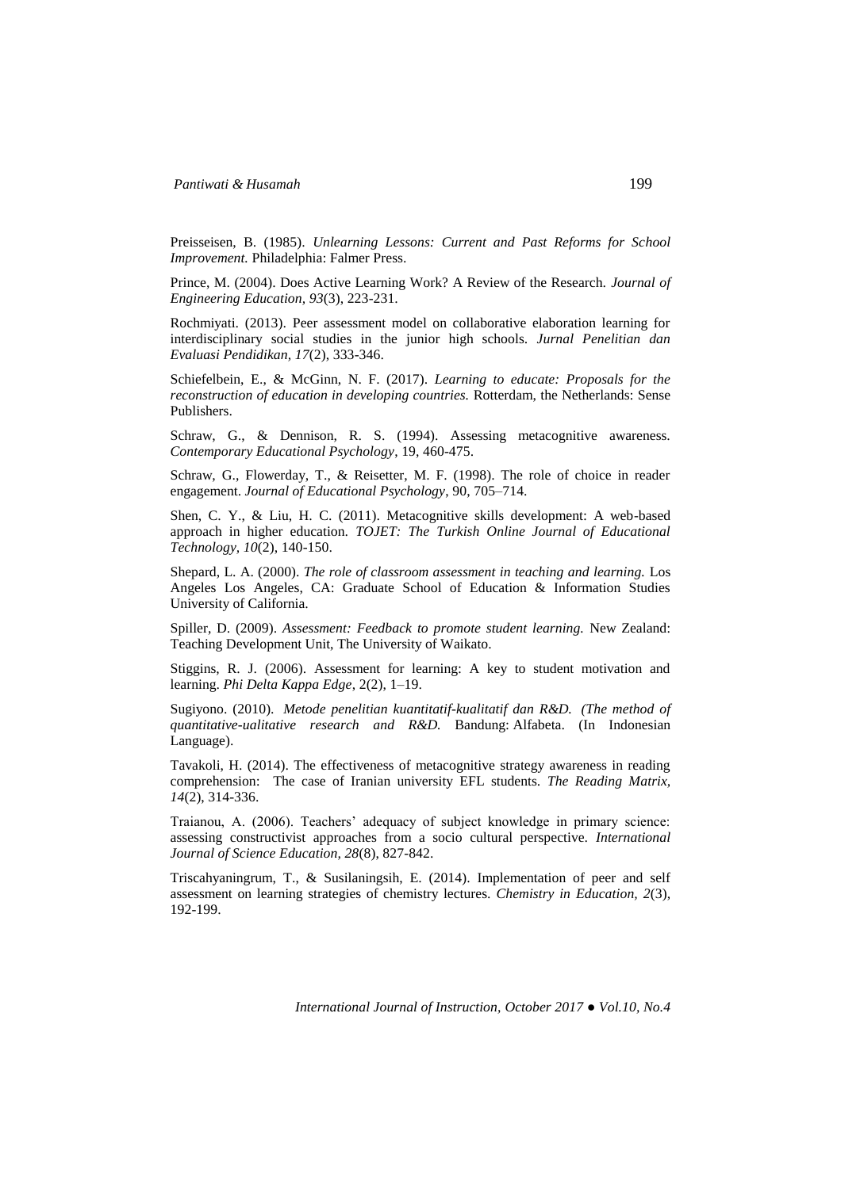Preisseisen, B. (1985). *Unlearning Lessons: Current and Past Reforms for School Improvement.* Philadelphia: Falmer Press.

Prince, M. (2004). Does Active Learning Work? A Review of the Research. *Journal of Engineering Education, 93*(3), 223-231.

Rochmiyati. (2013). Peer assessment model on collaborative elaboration learning for interdisciplinary social studies in the junior high schools. *Jurnal Penelitian dan Evaluasi Pendidikan, 17*(2), 333-346.

Schiefelbein, E., & McGinn, N. F. (2017). *Learning to educate: Proposals for the reconstruction of education in developing countries.* Rotterdam, the Netherlands: Sense Publishers.

Schraw, G., & Dennison, R. S. (1994). Assessing metacognitive awareness. *Contemporary Educational Psychology*, 19, 460-475.

Schraw, G., Flowerday, T., & Reisetter, M. F. (1998). The role of choice in reader engagement. *Journal of Educational Psychology*, 90, 705–714.

Shen, C. Y., & Liu, H. C. (2011). Metacognitive skills development: A web-based approach in higher education. *TOJET: The Turkish Online Journal of Educational Technology, 10*(2), 140-150.

Shepard, L. A. (2000). *The role of classroom assessment in teaching and learning.* Los Angeles Los Angeles, CA: Graduate School of Education & Information Studies University of California.

Spiller, D. (2009). *Assessment: Feedback to promote student learning.* New Zealand: Teaching Development Unit, The University of Waikato.

Stiggins, R. J. (2006). Assessment for learning: A key to student motivation and learning. *Phi Delta Kappa Edge*, 2(2), 1–19.

Sugiyono. (2010). *Metode penelitian kuantitatif-kualitatif dan R&D. (The method of quantitative-ualitative research and R&D.* Bandung: Alfabeta. (In Indonesian Language).

Tavakoli, H. (2014). The effectiveness of metacognitive strategy awareness in reading comprehension: The case of Iranian university EFL students. *The Reading Matrix, 14*(2), 314-336.

Traianou, A. (2006). Teachers' adequacy of subject knowledge in primary science: assessing constructivist approaches from a socio cultural perspective. *International Journal of Science Education, 28*(8), 827-842.

Triscahyaningrum, T., & Susilaningsih, E. (2014). Implementation of peer and self assessment on learning strategies of chemistry lectures. *Chemistry in Education, 2*(3), 192-199.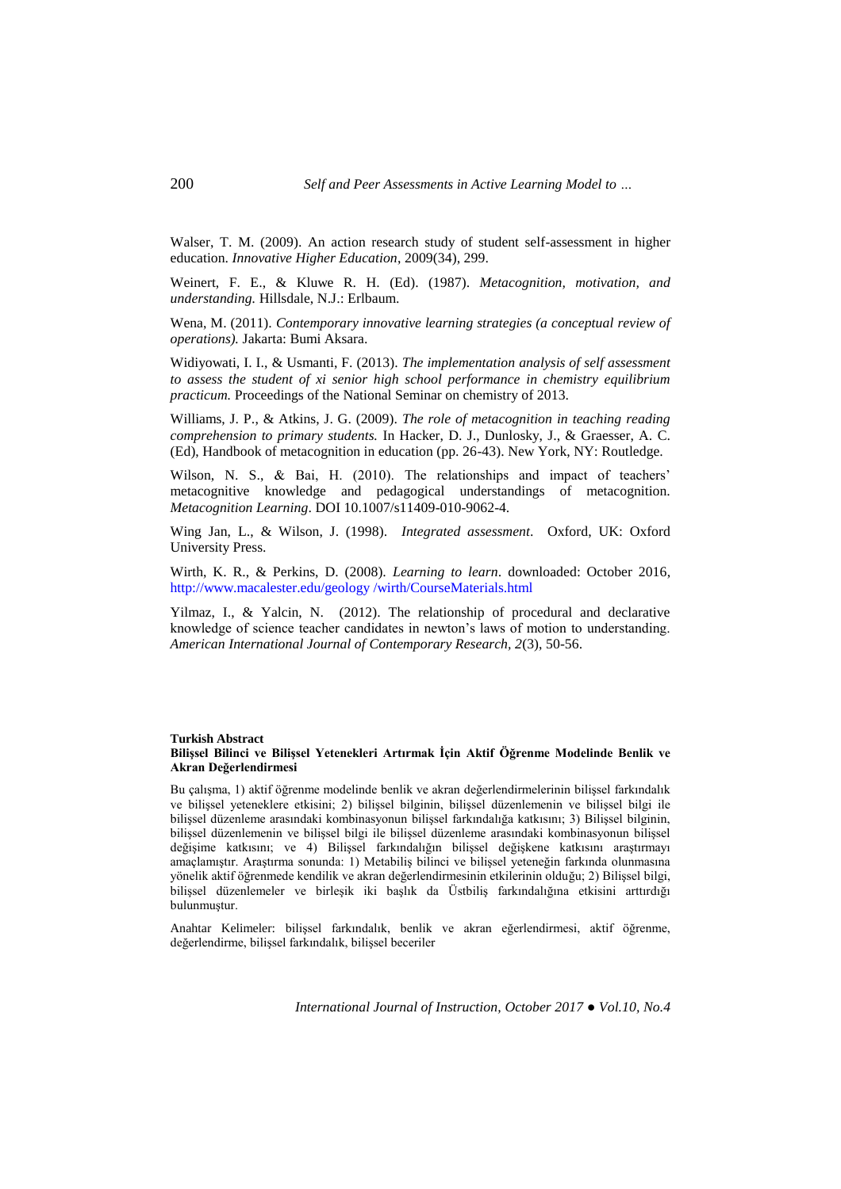Walser, T. M. (2009). An action research study of student self-assessment in higher education. *Innovative Higher Education*, 2009(34), 299.

Weinert, F. E., & Kluwe R. H. (Ed). (1987). *Metacognition, motivation, and understanding.* Hillsdale, N.J.: Erlbaum.

Wena, M. (2011). *Contemporary innovative learning strategies (a conceptual review of operations).* Jakarta: Bumi Aksara.

Widiyowati, I. I., & Usmanti, F. (2013). *The implementation analysis of self assessment to assess the student of xi senior high school performance in chemistry equilibrium practicum.* Proceedings of the National Seminar on chemistry of 2013.

Williams, J. P., & Atkins, J. G. (2009). *The role of metacognition in teaching reading comprehension to primary students.* In Hacker, D. J., Dunlosky, J., & Graesser, A. C. (Ed), Handbook of metacognition in education (pp. 26-43). New York, NY: Routledge.

Wilson, N. S., & Bai, H. (2010). The relationships and impact of teachers' metacognitive knowledge and pedagogical understandings of metacognition. *Metacognition Learning*. DOI 10.1007/s11409-010-9062-4.

Wing Jan, L., & Wilson, J. (1998). *Integrated assessment*. Oxford, UK: Oxford University Press.

Wirth, K. R., & Perkins, D. (2008). *Learning to learn*. downloaded: October 2016, [http://www.macalester.edu/geology /wirth/CourseMaterials.html](http://www.macalester.edu/geology%20/wirth/CourseMaterials.html)

Yilmaz, I., & Yalcin, N. (2012). The relationship of procedural and declarative knowledge of science teacher candidates in newton's laws of motion to understanding. *American International Journal of Contemporary Research, 2*(3), 50-56.

#### **Turkish Abstract Bilişsel Bilinci ve Bilişsel Yetenekleri Artırmak İçin Aktif Öğrenme Modelinde Benlik ve Akran Değerlendirmesi**

Bu çalışma, 1) aktif öğrenme modelinde benlik ve akran değerlendirmelerinin bilişsel farkındalık ve bilişsel yeteneklere etkisini; 2) bilişsel bilginin, bilişsel düzenlemenin ve bilişsel bilgi ile bilişsel düzenleme arasındaki kombinasyonun bilişsel farkındalığa katkısını; 3) Bilişsel bilginin, bilişsel düzenlemenin ve bilişsel bilgi ile bilişsel düzenleme arasındaki kombinasyonun bilişsel değişime katkısını; ve 4) Bilişsel farkındalığın bilişsel değişkene katkısını araştırmayı amaçlamıştır. Araştırma sonunda: 1) Metabiliş bilinci ve bilişsel yeteneğin farkında olunmasına yönelik aktif öğrenmede kendilik ve akran değerlendirmesinin etkilerinin olduğu; 2) Bilişsel bilgi, bilişsel düzenlemeler ve birleşik iki başlık da Üstbiliş farkındalığına etkisini arttırdığı bulunmuştur.

Anahtar Kelimeler: bilişsel farkındalık, benlik ve akran eğerlendirmesi, aktif öğrenme, değerlendirme, bilişsel farkındalık, bilişsel beceriler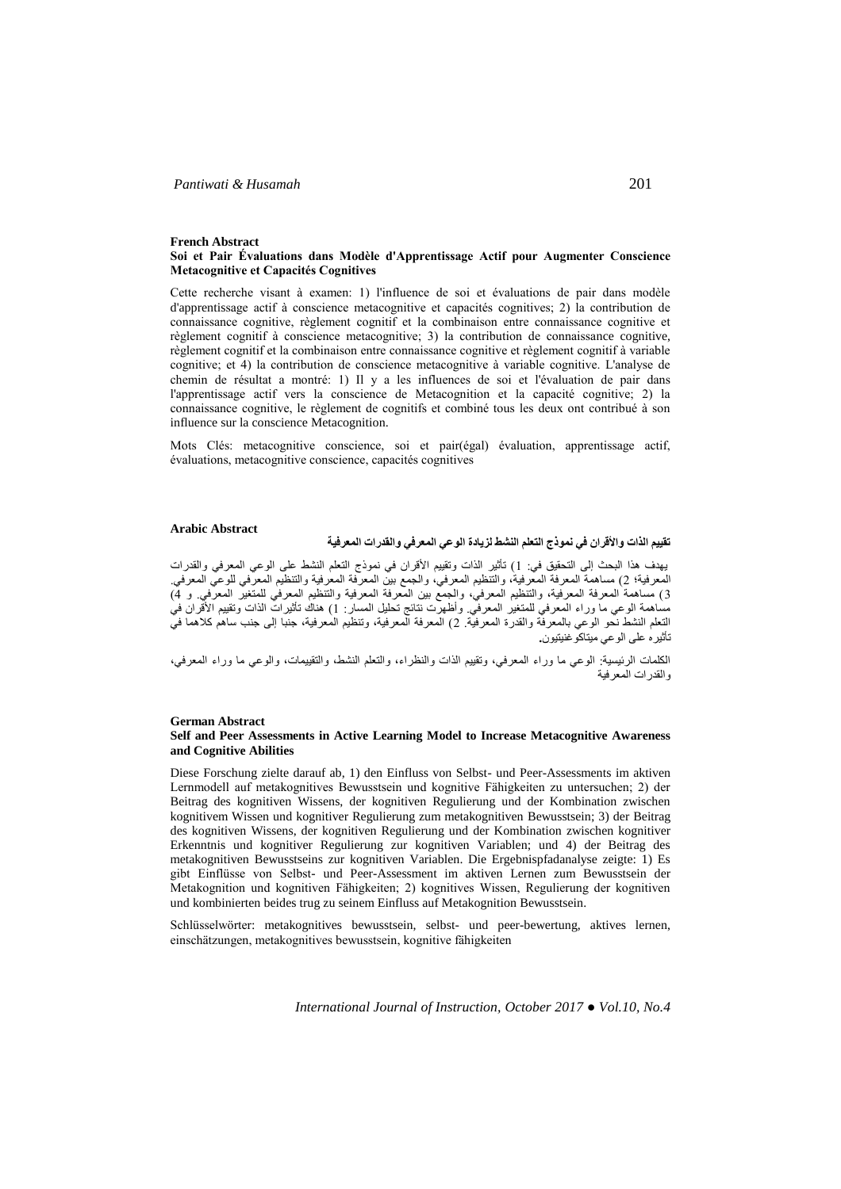### **French Abstract Soi et Pair Évaluations dans Modèle d'Apprentissage Actif pour Augmenter Conscience Metacognitive et Capacités Cognitives**

Cette recherche visant à examen: 1) l'influence de soi et évaluations de pair dans modèle d'apprentissage actif à conscience metacognitive et capacités cognitives; 2) la contribution de connaissance cognitive, règlement cognitif et la combinaison entre connaissance cognitive et règlement cognitif à conscience metacognitive; 3) la contribution de connaissance cognitive, règlement cognitif et la combinaison entre connaissance cognitive et règlement cognitif à variable cognitive; et 4) la contribution de conscience metacognitive à variable cognitive. L'analyse de chemin de résultat a montré: 1) Il y a les influences de soi et l'évaluation de pair dans l'apprentissage actif vers la conscience de Metacognition et la capacité cognitive; 2) la connaissance cognitive, le règlement de cognitifs et combiné tous les deux ont contribué à son influence sur la conscience Metacognition.

Mots Clés: metacognitive conscience, soi et pair(égal) évaluation, apprentissage actif, évaluations, metacognitive conscience, capacités cognitives

### **Arabic Abstract**

# **تقييم الذات واألقران في نموذج التعلم النشط لزيادة الوعي المعرفي والقدرات المعرفية**

يهدف هذا البحث إلى التحقيق في: 1) تأثير الذات وتقييم الأقران في نموذج التعلم النشط على الوعي المعرفي والقدرات المعرفية؛ 2( مساهمة المعرفة المعرفية، والتنظيم المعرفي، والجمع بين المعرفة المعرفية والتنظيم المعرفي للوعي المعرفي. 3) مساهمة المعرفة المعرفية، والتنظيم المعرفي، والجمع بين المعرفة المعرفية والتنظيم المعرفي للمتغير المعرفي<sub>.</sub> و 4) مساهمة الوعي ما وراء المعرفي للمتغير المعرفي. وأظهرت نتائج تحليل المسار: 1( هناك تأثيرات الذات وتقييم األقران في التعلم النشط نحو الوعي بالمعرفة والقدرة المعرفية. 2( المعرفة المعرفية، وتنظيم المعرفية، جنبا إلى جنب ساهم كالهما في تأثيره على الوعي ميتاكوغنيتيون**.**

الكلمات الرئيسية: الوعي ما وراء المعرفي، وتقييم الذات والنظراء، والتعلم النشط، والتقييمات، والوعي ما وراء المعرفي، والقدرات المعرفية

#### **German Abstract Self and Peer Assessments in Active Learning Model to Increase Metacognitive Awareness and Cognitive Abilities**

Diese Forschung zielte darauf ab, 1) den Einfluss von Selbst- und Peer-Assessments im aktiven Lernmodell auf metakognitives Bewusstsein und kognitive Fähigkeiten zu untersuchen; 2) der Beitrag des kognitiven Wissens, der kognitiven Regulierung und der Kombination zwischen kognitivem Wissen und kognitiver Regulierung zum metakognitiven Bewusstsein; 3) der Beitrag des kognitiven Wissens, der kognitiven Regulierung und der Kombination zwischen kognitiver Erkenntnis und kognitiver Regulierung zur kognitiven Variablen; und 4) der Beitrag des metakognitiven Bewusstseins zur kognitiven Variablen. Die Ergebnispfadanalyse zeigte: 1) Es gibt Einflüsse von Selbst- und Peer-Assessment im aktiven Lernen zum Bewusstsein der Metakognition und kognitiven Fähigkeiten; 2) kognitives Wissen, Regulierung der kognitiven und kombinierten beides trug zu seinem Einfluss auf Metakognition Bewusstsein.

Schlüsselwörter: metakognitives bewusstsein, selbst- und peer-bewertung, aktives lernen, einschätzungen, metakognitives bewusstsein, kognitive fähigkeiten